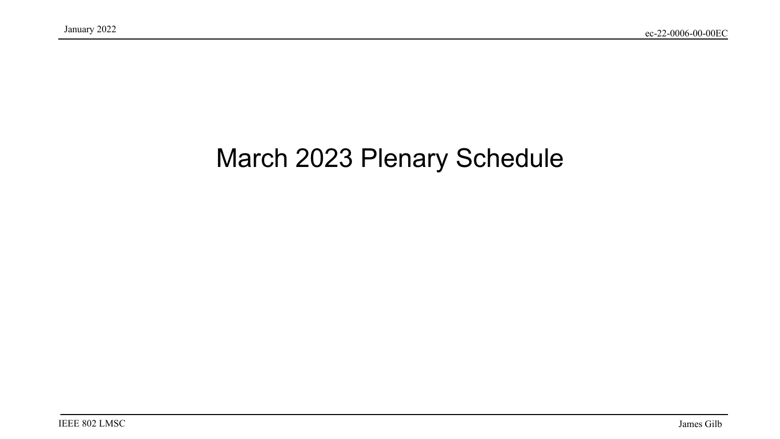### March 2023 Plenary Schedule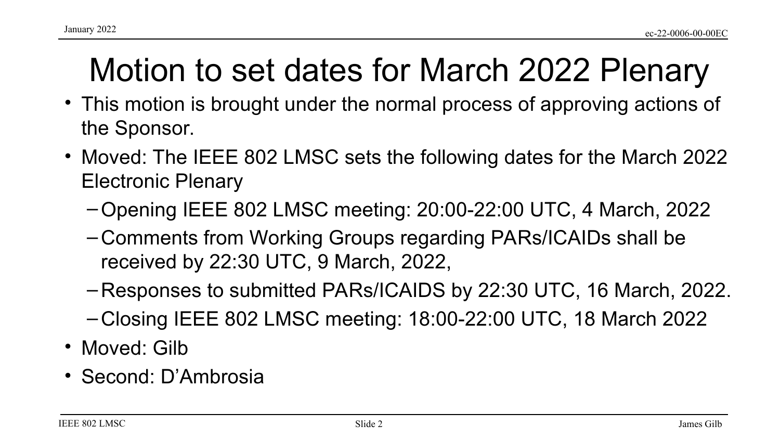# Motion to set dates for March 2022 Plenary

- This motion is brought under the normal process of approving actions of the Sponsor.
- Moved: The IEEE 802 LMSC sets the following dates for the March 2022 Electronic Plenary
	- –Opening IEEE 802 LMSC meeting: 20:00-22:00 UTC, 4 March, 2022
	- Comments from Working Groups regarding PARs/ICAIDs shall be received by 22:30 UTC, 9 March, 2022,
	- Responses to submitted PARs/ICAIDS by 22:30 UTC, 16 March, 2022.
	- Closing IEEE 802 LMSC meeting: 18:00-22:00 UTC, 18 March 2022
- Moved: Gilb
- Second: D'Ambrosia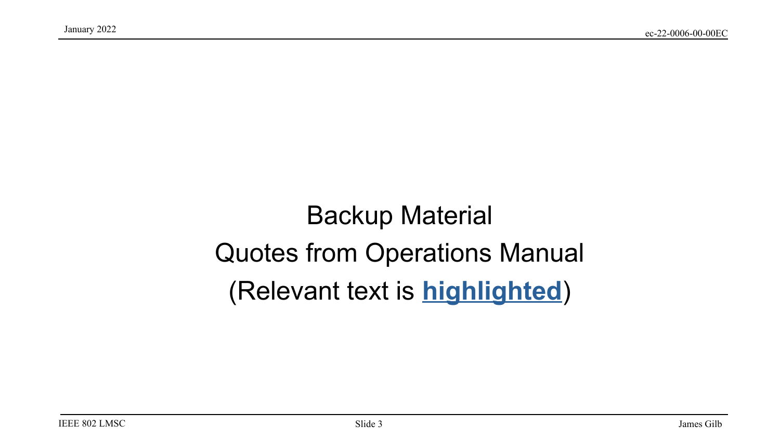### Backup Material Quotes from Operations Manual (Relevant text is **highlighted**)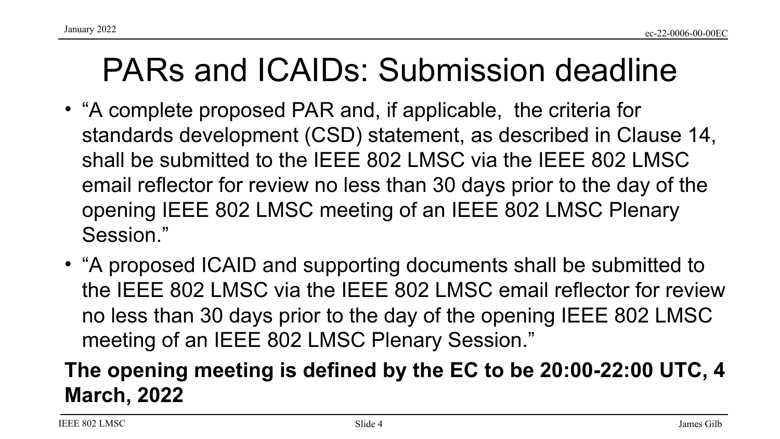### PARs and ICAIDs: Submission deadline

- "A complete proposed PAR and, if applicable, the criteria for standards development (CSD) statement, as described in Clause 14, shall be submitted to the IEEE 802 LMSC via the IEEE 802 LMSC email reflector for review no less than 30 days prior to the day of the opening IEEE 802 LMSC meeting of an IEEE 802 LMSC Plenary Session."
- "A proposed ICAID and supporting documents shall be submitted to the IEEE 802 LMSC via the IEEE 802 LMSC email reflector for review no less than 30 days prior to the day of the opening IEEE 802 LMSC meeting of an IEEE 802 LMSC Plenary Session."

#### **The opening meeting is defined by the EC to be 20:00-22:00 UTC, 4 March, 2022**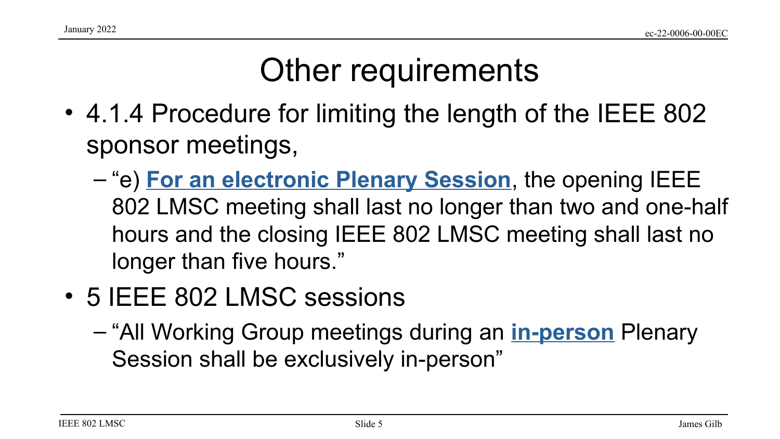# Other requirements

- 4.1.4 Procedure for limiting the length of the IEEE 802 sponsor meetings,
	- "e) **For an electronic Plenary Session**, the opening IEEE 802 LMSC meeting shall last no longer than two and one-half hours and the closing IEEE 802 LMSC meeting shall last no longer than five hours."
- 5 IEEE 802 LMSC sessions
	- "All Working Group meetings during an **in-person** Plenary Session shall be exclusively in-person"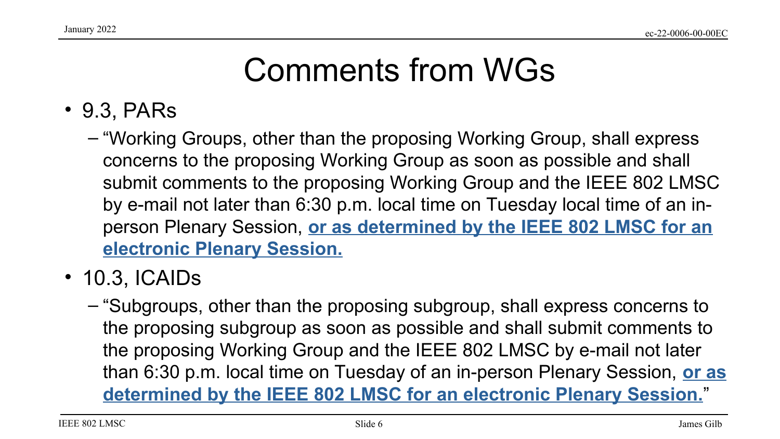## Comments from WGs

- 9.3, PARs
	- "Working Groups, other than the proposing Working Group, shall express concerns to the proposing Working Group as soon as possible and shall submit comments to the proposing Working Group and the IEEE 802 LMSC by e-mail not later than 6:30 p.m. local time on Tuesday local time of an inperson Plenary Session, **or as determined by the IEEE 802 LMSC for an electronic Plenary Session.**
- 10.3, ICAIDs
	- "Subgroups, other than the proposing subgroup, shall express concerns to the proposing subgroup as soon as possible and shall submit comments to the proposing Working Group and the IEEE 802 LMSC by e-mail not later than 6:30 p.m. local time on Tuesday of an in-person Plenary Session, **or as determined by the IEEE 802 LMSC for an electronic Plenary Session.**"